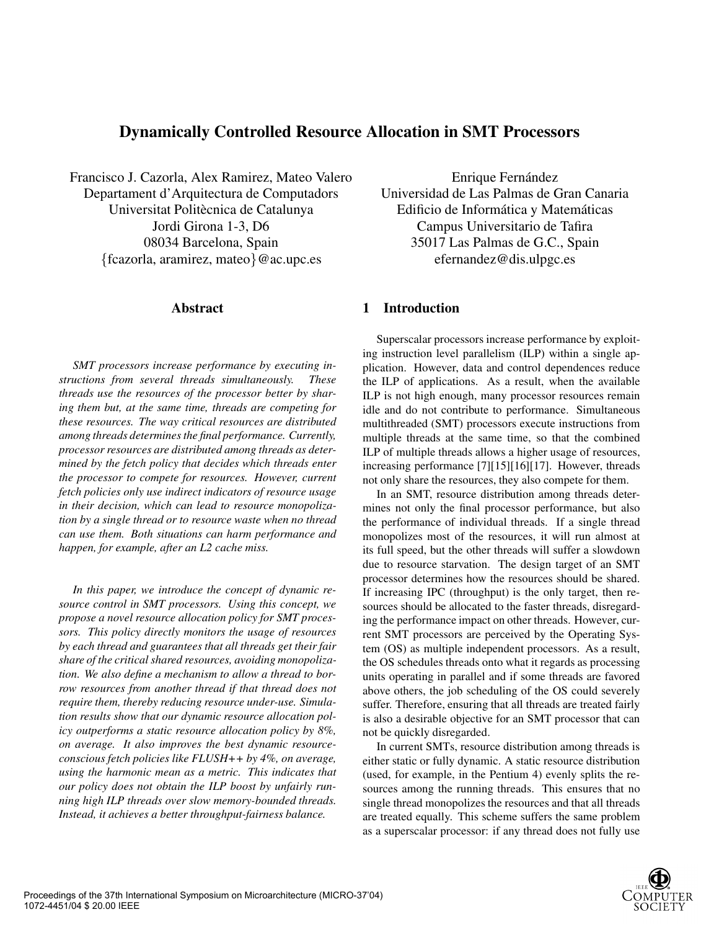# **Dynamically Controlled Resource Allocation in SMT Processors**

Francisco J. Cazorla, Alex Ramirez, Mateo Valero Departament d'Arquitectura de Computadors Universitat Politècnica de Catalunya Jordi Girona 1-3, D6 08034 Barcelona, Spain {fcazorla, aramirez, mateo}@ac.upc.es

# **Abstract**

*SMT processors increase performance by executing instructions from several threads simultaneously. These threads use the resources of the processor better by sharing them but, at the same time, threads are competing for these resources. The way critical resources are distributed among threads determines the final performance. Currently, processor resources are distributed among threads as determined by the fetch policy that decides which threads enter the processor to compete for resources. However, current fetch policies only use indirect indicators of resource usage in their decision, which can lead to resource monopolization by a single thread or to resource waste when no thread can use them. Both situations can harm performance and happen, for example, after an L2 cache miss.*

*In this paper, we introduce the concept of dynamic resource control in SMT processors. Using this concept, we propose a novel resource allocation policy for SMT processors. This policy directly monitors the usage of resources by each thread and guarantees that all threads get their fair share of the critical shared resources, avoiding monopolization. We also define a mechanism to allow a thread to borrow resources from another thread if that thread does not require them, thereby reducing resource under-use. Simulation results show that our dynamic resource allocation policy outperforms a static resource allocation policy by 8%, on average. It also improves the best dynamic resourceconscious fetch policies like FLUSH++ by 4%, on average, using the harmonic mean as a metric. This indicates that our policy does not obtain the ILP boost by unfairly running high ILP threads over slow memory-bounded threads. Instead, it achieves a better throughput-fairness balance.*

Enrique Fernández Universidad de Las Palmas de Gran Canaria Edificio de Informática y Matemáticas Campus Universitario de Tafira 35017 Las Palmas de G.C., Spain efernandez@dis.ulpgc.es

# **1 Introduction**

Superscalar processors increase performance by exploiting instruction level parallelism (ILP) within a single application. However, data and control dependences reduce the ILP of applications. As a result, when the available ILP is not high enough, many processor resources remain idle and do not contribute to performance. Simultaneous multithreaded (SMT) processors execute instructions from multiple threads at the same time, so that the combined ILP of multiple threads allows a higher usage of resources, increasing performance [7][15][16][17]. However, threads not only share the resources, they also compete for them.

In an SMT, resource distribution among threads determines not only the final processor performance, but also the performance of individual threads. If a single thread monopolizes most of the resources, it will run almost at its full speed, but the other threads will suffer a slowdown due to resource starvation. The design target of an SMT processor determines how the resources should be shared. If increasing IPC (throughput) is the only target, then resources should be allocated to the faster threads, disregarding the performance impact on other threads. However, current SMT processors are perceived by the Operating System (OS) as multiple independent processors. As a result, the OS schedules threads onto what it regards as processing units operating in parallel and if some threads are favored above others, the job scheduling of the OS could severely suffer. Therefore, ensuring that all threads are treated fairly is also a desirable objective for an SMT processor that can not be quickly disregarded.

In current SMTs, resource distribution among threads is either static or fully dynamic. A static resource distribution (used, for example, in the Pentium 4) evenly splits the resources among the running threads. This ensures that no single thread monopolizes the resources and that all threads are treated equally. This scheme suffers the same problem as a superscalar processor: if any thread does not fully use

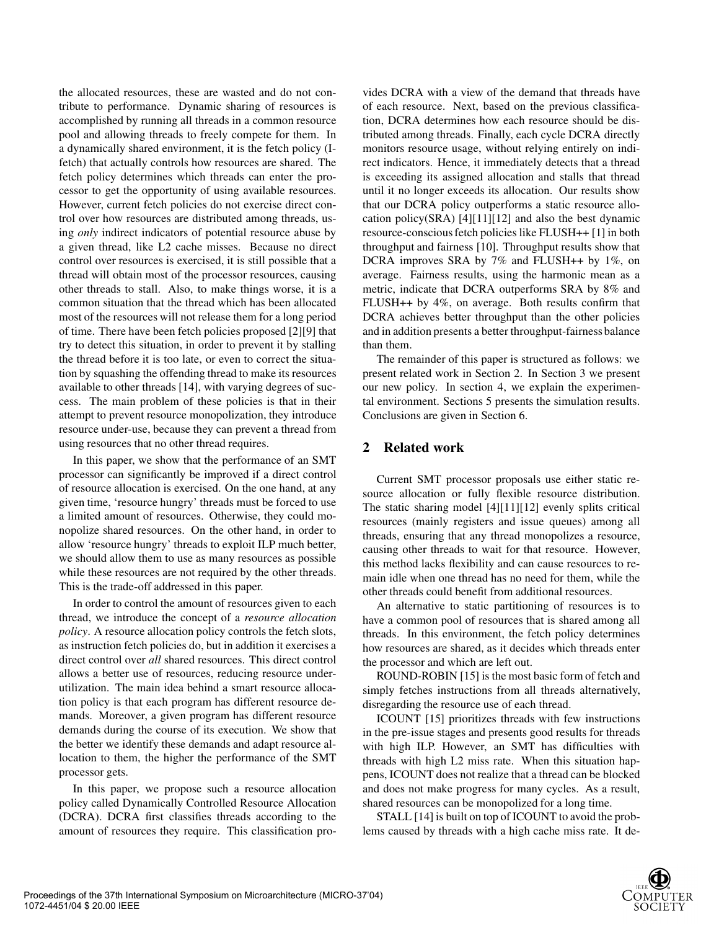the allocated resources, these are wasted and do not contribute to performance. Dynamic sharing of resources is accomplished by running all threads in a common resource pool and allowing threads to freely compete for them. In a dynamically shared environment, it is the fetch policy (Ifetch) that actually controls how resources are shared. The fetch policy determines which threads can enter the processor to get the opportunity of using available resources. However, current fetch policies do not exercise direct control over how resources are distributed among threads, using *only* indirect indicators of potential resource abuse by a given thread, like L2 cache misses. Because no direct control over resources is exercised, it is still possible that a thread will obtain most of the processor resources, causing other threads to stall. Also, to make things worse, it is a common situation that the thread which has been allocated most of the resources will not release them for a long period of time. There have been fetch policies proposed [2][9] that try to detect this situation, in order to prevent it by stalling the thread before it is too late, or even to correct the situation by squashing the offending thread to make its resources available to other threads [14], with varying degrees of success. The main problem of these policies is that in their attempt to prevent resource monopolization, they introduce resource under-use, because they can prevent a thread from using resources that no other thread requires.

In this paper, we show that the performance of an SMT processor can significantly be improved if a direct control of resource allocation is exercised. On the one hand, at any given time, 'resource hungry' threads must be forced to use a limited amount of resources. Otherwise, they could monopolize shared resources. On the other hand, in order to allow 'resource hungry' threads to exploit ILP much better, we should allow them to use as many resources as possible while these resources are not required by the other threads. This is the trade-off addressed in this paper.

In order to control the amount of resources given to each thread, we introduce the concept of a *resource allocation policy*. A resource allocation policy controls the fetch slots, as instruction fetch policies do, but in addition it exercises a direct control over *all* shared resources. This direct control allows a better use of resources, reducing resource underutilization. The main idea behind a smart resource allocation policy is that each program has different resource demands. Moreover, a given program has different resource demands during the course of its execution. We show that the better we identify these demands and adapt resource allocation to them, the higher the performance of the SMT processor gets.

In this paper, we propose such a resource allocation policy called Dynamically Controlled Resource Allocation (DCRA). DCRA first classifies threads according to the amount of resources they require. This classification provides DCRA with a view of the demand that threads have of each resource. Next, based on the previous classification, DCRA determines how each resource should be distributed among threads. Finally, each cycle DCRA directly monitors resource usage, without relying entirely on indirect indicators. Hence, it immediately detects that a thread is exceeding its assigned allocation and stalls that thread until it no longer exceeds its allocation. Our results show that our DCRA policy outperforms a static resource allocation policy(SRA) [4][11][12] and also the best dynamic resource-conscious fetch policies like FLUSH++ [1] in both throughput and fairness [10]. Throughput results show that DCRA improves SRA by 7% and FLUSH++ by 1%, on average. Fairness results, using the harmonic mean as a metric, indicate that DCRA outperforms SRA by 8% and FLUSH++ by 4%, on average. Both results confirm that DCRA achieves better throughput than the other policies and in addition presents a better throughput-fairness balance than them.

The remainder of this paper is structured as follows: we present related work in Section 2. In Section 3 we present our new policy. In section 4, we explain the experimental environment. Sections 5 presents the simulation results. Conclusions are given in Section 6.

# **2 Related work**

Current SMT processor proposals use either static resource allocation or fully flexible resource distribution. The static sharing model [4][11][12] evenly splits critical resources (mainly registers and issue queues) among all threads, ensuring that any thread monopolizes a resource, causing other threads to wait for that resource. However, this method lacks flexibility and can cause resources to remain idle when one thread has no need for them, while the other threads could benefit from additional resources.

An alternative to static partitioning of resources is to have a common pool of resources that is shared among all threads. In this environment, the fetch policy determines how resources are shared, as it decides which threads enter the processor and which are left out.

ROUND-ROBIN [15] is the most basic form of fetch and simply fetches instructions from all threads alternatively, disregarding the resource use of each thread.

ICOUNT [15] prioritizes threads with few instructions in the pre-issue stages and presents good results for threads with high ILP. However, an SMT has difficulties with threads with high L2 miss rate. When this situation happens, ICOUNT does not realize that a thread can be blocked and does not make progress for many cycles. As a result, shared resources can be monopolized for a long time.

STALL [14] is built on top of ICOUNT to avoid the problems caused by threads with a high cache miss rate. It de-

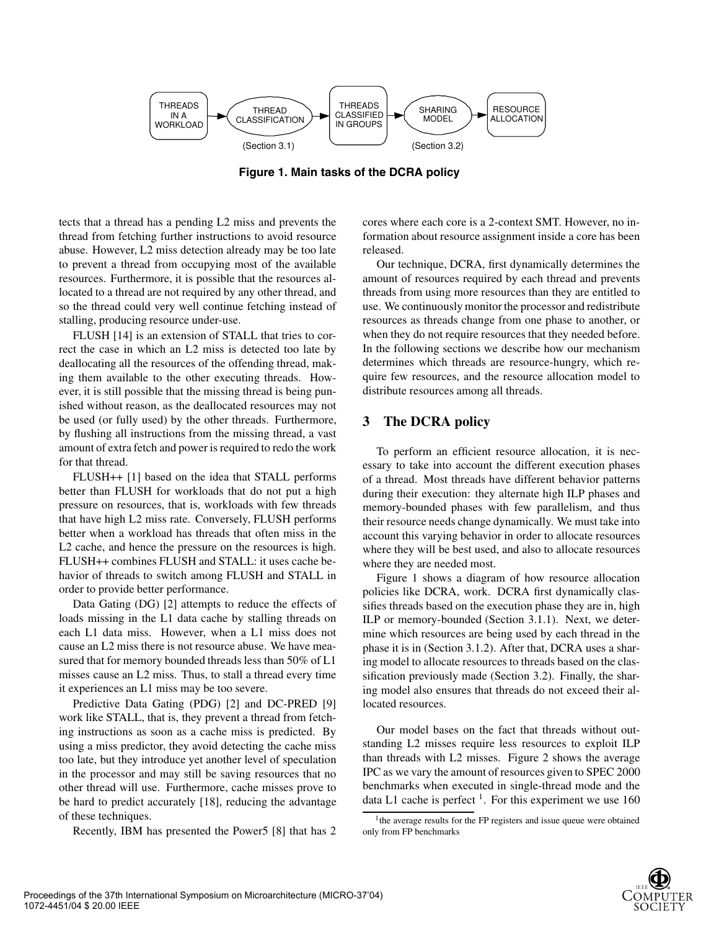

**Figure 1. Main tasks of the DCRA policy**

tects that a thread has a pending L2 miss and prevents the thread from fetching further instructions to avoid resource abuse. However, L2 miss detection already may be too late to prevent a thread from occupying most of the available resources. Furthermore, it is possible that the resources allocated to a thread are not required by any other thread, and so the thread could very well continue fetching instead of stalling, producing resource under-use.

FLUSH [14] is an extension of STALL that tries to correct the case in which an L2 miss is detected too late by deallocating all the resources of the offending thread, making them available to the other executing threads. However, it is still possible that the missing thread is being punished without reason, as the deallocated resources may not be used (or fully used) by the other threads. Furthermore, by flushing all instructions from the missing thread, a vast amount of extra fetch and power is required to redo the work for that thread.

FLUSH++ [1] based on the idea that STALL performs better than FLUSH for workloads that do not put a high pressure on resources, that is, workloads with few threads that have high L2 miss rate. Conversely, FLUSH performs better when a workload has threads that often miss in the L2 cache, and hence the pressure on the resources is high. FLUSH++ combines FLUSH and STALL: it uses cache behavior of threads to switch among FLUSH and STALL in order to provide better performance.

Data Gating (DG) [2] attempts to reduce the effects of loads missing in the L1 data cache by stalling threads on each L1 data miss. However, when a L1 miss does not cause an L2 miss there is not resource abuse. We have measured that for memory bounded threads less than 50% of L1 misses cause an L2 miss. Thus, to stall a thread every time it experiences an L1 miss may be too severe.

Predictive Data Gating (PDG) [2] and DC-PRED [9] work like STALL, that is, they prevent a thread from fetching instructions as soon as a cache miss is predicted. By using a miss predictor, they avoid detecting the cache miss too late, but they introduce yet another level of speculation in the processor and may still be saving resources that no other thread will use. Furthermore, cache misses prove to be hard to predict accurately [18], reducing the advantage of these techniques.

Recently, IBM has presented the Power5 [8] that has 2

cores where each core is a 2-context SMT. However, no information about resource assignment inside a core has been released.

Our technique, DCRA, first dynamically determines the amount of resources required by each thread and prevents threads from using more resources than they are entitled to use. We continuously monitor the processor and redistribute resources as threads change from one phase to another, or when they do not require resources that they needed before. In the following sections we describe how our mechanism determines which threads are resource-hungry, which require few resources, and the resource allocation model to distribute resources among all threads.

# **3 The DCRA policy**

To perform an efficient resource allocation, it is necessary to take into account the different execution phases of a thread. Most threads have different behavior patterns during their execution: they alternate high ILP phases and memory-bounded phases with few parallelism, and thus their resource needs change dynamically. We must take into account this varying behavior in order to allocate resources where they will be best used, and also to allocate resources where they are needed most.

Figure 1 shows a diagram of how resource allocation policies like DCRA, work. DCRA first dynamically classifies threads based on the execution phase they are in, high ILP or memory-bounded (Section 3.1.1). Next, we determine which resources are being used by each thread in the phase it is in (Section 3.1.2). After that, DCRA uses a sharing model to allocate resources to threads based on the classification previously made (Section 3.2). Finally, the sharing model also ensures that threads do not exceed their allocated resources.

Our model bases on the fact that threads without outstanding L2 misses require less resources to exploit ILP than threads with L2 misses. Figure 2 shows the average IPC as we vary the amount of resources given to SPEC 2000 benchmarks when executed in single-thread mode and the data L1 cache is perfect<sup>1</sup>. For this experiment we use  $160$ 

<sup>&</sup>lt;sup>1</sup>the average results for the FP registers and issue queue were obtained only from FP benchmarks

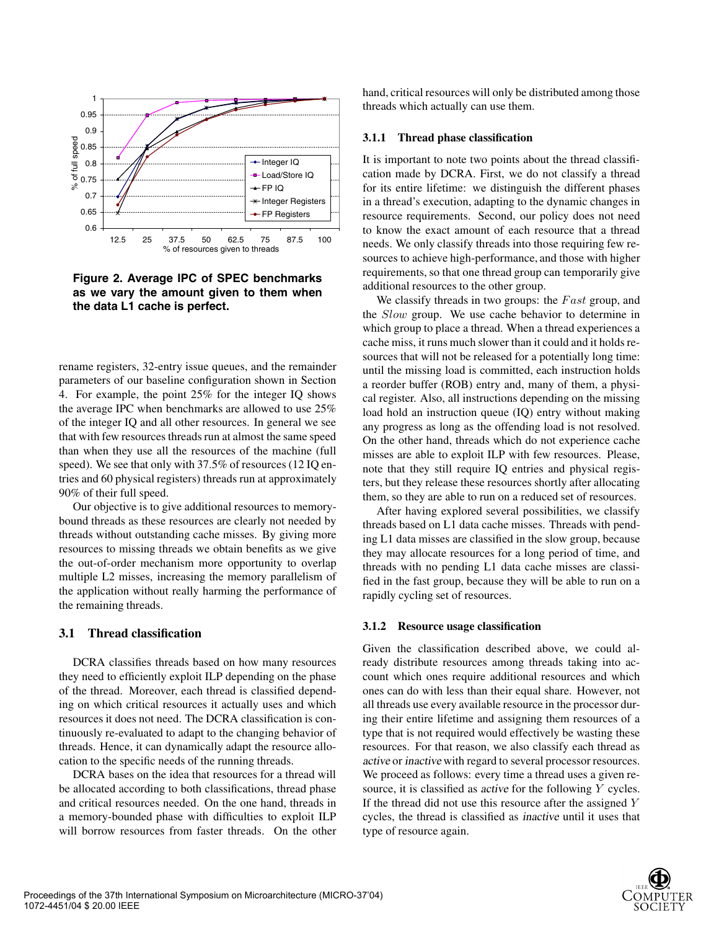

**Figure 2. Average IPC of SPEC benchmarks as we vary the amount given to them when the data L1 cache is perfect.**

rename registers, 32-entry issue queues, and the remainder parameters of our baseline configuration shown in Section 4. For example, the point 25% for the integer IQ shows the average IPC when benchmarks are allowed to use 25% of the integer IQ and all other resources. In general we see that with few resources threads run at almost the same speed than when they use all the resources of the machine (full speed). We see that only with 37.5% of resources (12 IQ entries and 60 physical registers) threads run at approximately 90% of their full speed.

Our objective is to give additional resources to memorybound threads as these resources are clearly not needed by threads without outstanding cache misses. By giving more resources to missing threads we obtain benefits as we give the out-of-order mechanism more opportunity to overlap multiple L2 misses, increasing the memory parallelism of the application without really harming the performance of the remaining threads.

## **3.1 Thread classification**

DCRA classifies threads based on how many resources they need to efficiently exploit ILP depending on the phase of the thread. Moreover, each thread is classified depending on which critical resources it actually uses and which resources it does not need. The DCRA classification is continuously re-evaluated to adapt to the changing behavior of threads. Hence, it can dynamically adapt the resource allocation to the specific needs of the running threads.

DCRA bases on the idea that resources for a thread will be allocated according to both classifications, thread phase and critical resources needed. On the one hand, threads in a memory-bounded phase with difficulties to exploit ILP will borrow resources from faster threads. On the other hand, critical resources will only be distributed among those threads which actually can use them.

#### **3.1.1 Thread phase classification**

It is important to note two points about the thread classification made by DCRA. First, we do not classify a thread for its entire lifetime: we distinguish the different phases in a thread's execution, adapting to the dynamic changes in resource requirements. Second, our policy does not need to know the exact amount of each resource that a thread needs. We only classify threads into those requiring few resources to achieve high-performance, and those with higher requirements, so that one thread group can temporarily give additional resources to the other group.

We classify threads in two groups: the  $Fast$  group, and the Slow group. We use cache behavior to determine in which group to place a thread. When a thread experiences a cache miss, it runs much slower than it could and it holds resources that will not be released for a potentially long time: until the missing load is committed, each instruction holds a reorder buffer (ROB) entry and, many of them, a physical register. Also, all instructions depending on the missing load hold an instruction queue (IQ) entry without making any progress as long as the offending load is not resolved. On the other hand, threads which do not experience cache misses are able to exploit ILP with few resources. Please, note that they still require IQ entries and physical registers, but they release these resources shortly after allocating them, so they are able to run on a reduced set of resources.

After having explored several possibilities, we classify threads based on L1 data cache misses. Threads with pending L1 data misses are classified in the slow group, because they may allocate resources for a long period of time, and threads with no pending L1 data cache misses are classified in the fast group, because they will be able to run on a rapidly cycling set of resources.

#### **3.1.2 Resource usage classification**

Given the classification described above, we could already distribute resources among threads taking into account which ones require additional resources and which ones can do with less than their equal share. However, not all threads use every available resource in the processor during their entire lifetime and assigning them resources of a type that is not required would effectively be wasting these resources. For that reason, we also classify each thread as active or inactive with regard to several processor resources. We proceed as follows: every time a thread uses a given resource, it is classified as *active* for the following Y cycles. If the thread did not use this resource after the assigned Y cycles, the thread is classified as inactive until it uses that type of resource again.

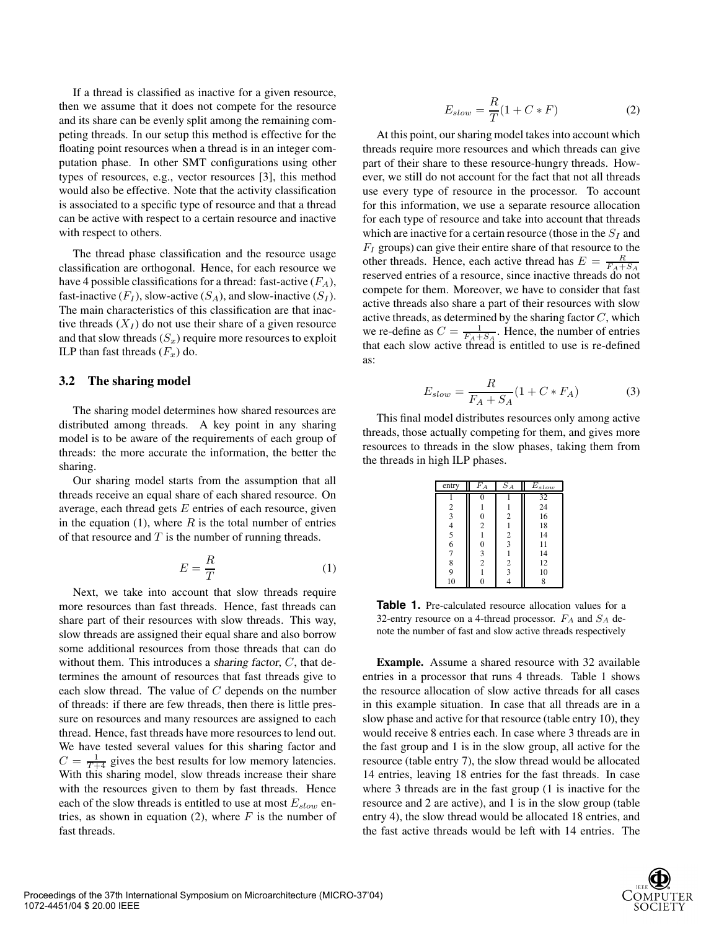If a thread is classified as inactive for a given resource, then we assume that it does not compete for the resource and its share can be evenly split among the remaining competing threads. In our setup this method is effective for the floating point resources when a thread is in an integer computation phase. In other SMT configurations using other types of resources, e.g., vector resources [3], this method would also be effective. Note that the activity classification is associated to a specific type of resource and that a thread can be active with respect to a certain resource and inactive with respect to others.

The thread phase classification and the resource usage classification are orthogonal. Hence, for each resource we have 4 possible classifications for a thread: fast-active  $(F_A)$ , fast-inactive  $(F_I)$ , slow-active  $(S_A)$ , and slow-inactive  $(S_I)$ . The main characteristics of this classification are that inactive threads  $(X_I)$  do not use their share of a given resource and that slow threads  $(S_x)$  require more resources to exploit ILP than fast threads  $(F_x)$  do.

### **3.2 The sharing model**

The sharing model determines how shared resources are distributed among threads. A key point in any sharing model is to be aware of the requirements of each group of threads: the more accurate the information, the better the sharing.

Our sharing model starts from the assumption that all threads receive an equal share of each shared resource. On average, each thread gets  $E$  entries of each resource, given in the equation (1), where  $R$  is the total number of entries of that resource and  $T$  is the number of running threads.

$$
E = \frac{R}{T} \tag{1}
$$

Next, we take into account that slow threads require more resources than fast threads. Hence, fast threads can share part of their resources with slow threads. This way, slow threads are assigned their equal share and also borrow some additional resources from those threads that can do without them. This introduces a sharing factor,  $C$ , that determines the amount of resources that fast threads give to each slow thread. The value of C depends on the number of threads: if there are few threads, then there is little pressure on resources and many resources are assigned to each thread. Hence, fast threads have more resources to lend out. We have tested several values for this sharing factor and  $C = \frac{1}{T+4}$  gives the best results for low memory latencies. With this sharing model, slow threads increase their share with the resources given to them by fast threads. Hence each of the slow threads is entitled to use at most  $E_{slow}$  entries, as shown in equation (2), where  $F$  is the number of fast threads.

$$
E_{slow} = \frac{R}{T}(1 + C \ast F) \tag{2}
$$

At this point, our sharing model takes into account which threads require more resources and which threads can give part of their share to these resource-hungry threads. However, we still do not account for the fact that not all threads use every type of resource in the processor. To account for this information, we use a separate resource allocation for each type of resource and take into account that threads which are inactive for a certain resource (those in the  $S_I$  and  $F_I$  groups) can give their entire share of that resource to the other threads. Hence, each active thread has  $E = \frac{R}{FA + SA}$ reserved entries of a resource, since inactive threads do not compete for them. Moreover, we have to consider that fast active threads also share a part of their resources with slow active threads, as determined by the sharing factor  $C$ , which we re-define as  $C = \frac{1}{FA+SA}$ . Hence, the number of entries that each slow active thread is entitled to use is re-defined as:

$$
E_{slow} = \frac{R}{F_A + S_A} (1 + C \ast F_A) \tag{3}
$$

This final model distributes resources only among active threads, those actually competing for them, and gives more resources to threads in the slow phases, taking them from the threads in high ILP phases.

| entry          | $F_A$                                      | $S_A$          | $E_{slow}$ |
|----------------|--------------------------------------------|----------------|------------|
|                | 0                                          |                | 32         |
|                |                                            |                | 24         |
|                | $\begin{matrix}0\\2\end{matrix}$           | $\overline{c}$ | 16         |
|                |                                            | $\mathbf{1}$   | 18         |
|                | 1                                          |                | 14         |
| 23456          |                                            | $\frac{2}{3}$  | 11         |
| $\overline{7}$ | $\begin{array}{c} 0 \\ 3 \\ 2 \end{array}$ |                | 14         |
| $\frac{8}{9}$  |                                            |                | 12         |
|                | 1                                          | $\frac{1}{2}$  | 10         |
| 10             | $\overline{0}$                             |                | 8          |

**Table 1.** Pre-calculated resource allocation values for a 32-entry resource on a 4-thread processor.  $F_A$  and  $S_A$  denote the number of fast and slow active threads respectively

**Example.** Assume a shared resource with 32 available entries in a processor that runs 4 threads. Table 1 shows the resource allocation of slow active threads for all cases in this example situation. In case that all threads are in a slow phase and active for that resource (table entry 10), they would receive 8 entries each. In case where 3 threads are in the fast group and 1 is in the slow group, all active for the resource (table entry 7), the slow thread would be allocated 14 entries, leaving 18 entries for the fast threads. In case where 3 threads are in the fast group  $(1 \text{ is inactive for the})$ resource and 2 are active), and 1 is in the slow group (table entry 4), the slow thread would be allocated 18 entries, and the fast active threads would be left with 14 entries. The

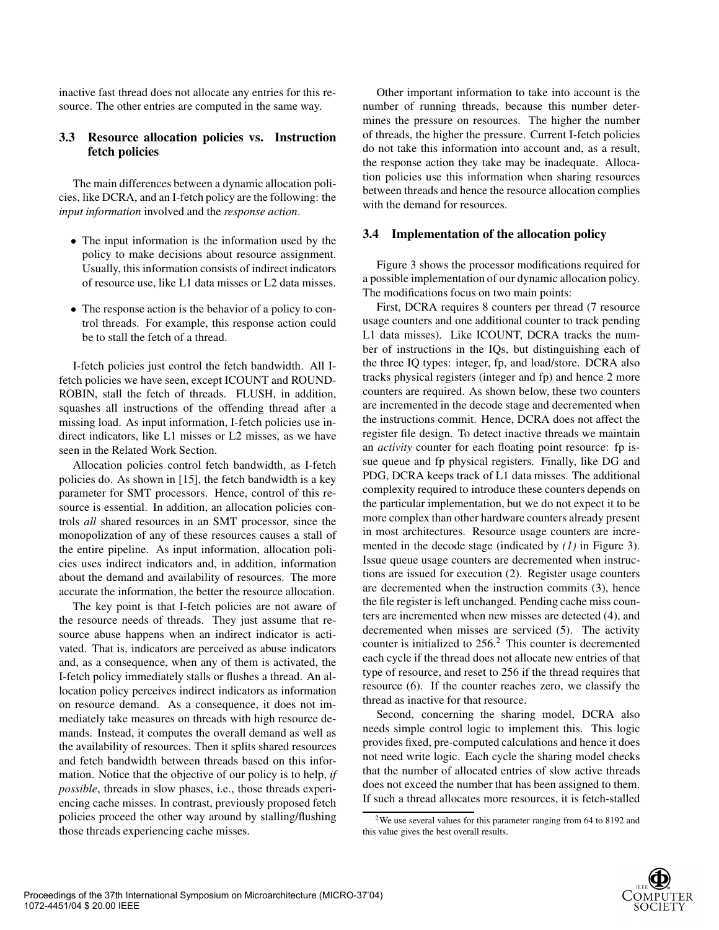inactive fast thread does not allocate any entries for this resource. The other entries are computed in the same way.

# **3.3 Resource allocation policies vs. Instruction fetch policies**

The main differences between a dynamic allocation policies, like DCRA, and an I-fetch policy are the following: the *input information* involved and the *response action*.

- The input information is the information used by the policy to make decisions about resource assignment. Usually, this information consists of indirect indicators of resource use, like L1 data misses or L2 data misses.
- The response action is the behavior of a policy to control threads. For example, this response action could be to stall the fetch of a thread.

I-fetch policies just control the fetch bandwidth. All Ifetch policies we have seen, except ICOUNT and ROUND-ROBIN, stall the fetch of threads. FLUSH, in addition, squashes all instructions of the offending thread after a missing load. As input information, I-fetch policies use indirect indicators, like L1 misses or L2 misses, as we have seen in the Related Work Section.

Allocation policies control fetch bandwidth, as I-fetch policies do. As shown in [15], the fetch bandwidth is a key parameter for SMT processors. Hence, control of this resource is essential. In addition, an allocation policies controls *all* shared resources in an SMT processor, since the monopolization of any of these resources causes a stall of the entire pipeline. As input information, allocation policies uses indirect indicators and, in addition, information about the demand and availability of resources. The more accurate the information, the better the resource allocation.

The key point is that I-fetch policies are not aware of the resource needs of threads. They just assume that resource abuse happens when an indirect indicator is activated. That is, indicators are perceived as abuse indicators and, as a consequence, when any of them is activated, the I-fetch policy immediately stalls or flushes a thread. An allocation policy perceives indirect indicators as information on resource demand. As a consequence, it does not immediately take measures on threads with high resource demands. Instead, it computes the overall demand as well as the availability of resources. Then it splits shared resources and fetch bandwidth between threads based on this information. Notice that the objective of our policy is to help, *if possible*, threads in slow phases, i.e., those threads experiencing cache misses. In contrast, previously proposed fetch policies proceed the other way around by stalling/flushing those threads experiencing cache misses.

Other important information to take into account is the number of running threads, because this number determines the pressure on resources. The higher the number of threads, the higher the pressure. Current I-fetch policies do not take this information into account and, as a result, the response action they take may be inadequate. Allocation policies use this information when sharing resources between threads and hence the resource allocation complies with the demand for resources.

### **3.4 Implementation of the allocation policy**

Figure 3 shows the processor modifications required for a possible implementation of our dynamic allocation policy. The modifications focus on two main points:

First, DCRA requires 8 counters per thread (7 resource usage counters and one additional counter to track pending L1 data misses). Like ICOUNT, DCRA tracks the number of instructions in the IQs, but distinguishing each of the three IQ types: integer, fp, and load/store. DCRA also tracks physical registers (integer and fp) and hence 2 more counters are required. As shown below, these two counters are incremented in the decode stage and decremented when the instructions commit. Hence, DCRA does not affect the register file design. To detect inactive threads we maintain an *activity* counter for each floating point resource: fp issue queue and fp physical registers. Finally, like DG and PDG, DCRA keeps track of L1 data misses. The additional complexity required to introduce these counters depends on the particular implementation, but we do not expect it to be more complex than other hardware counters already present in most architectures. Resource usage counters are incremented in the decode stage (indicated by *(1)* in Figure 3). Issue queue usage counters are decremented when instructions are issued for execution (2). Register usage counters are decremented when the instruction commits (3), hence the file register is left unchanged. Pending cache miss counters are incremented when new misses are detected (4), and decremented when misses are serviced (5). The activity counter is initialized to  $256<sup>2</sup>$ . This counter is decremented each cycle if the thread does not allocate new entries of that type of resource, and reset to 256 if the thread requires that resource (6). If the counter reaches zero, we classify the thread as inactive for that resource.

Second, concerning the sharing model, DCRA also needs simple control logic to implement this. This logic provides fixed, pre-computed calculations and hence it does not need write logic. Each cycle the sharing model checks that the number of allocated entries of slow active threads does not exceed the number that has been assigned to them. If such a thread allocates more resources, it is fetch-stalled

<sup>&</sup>lt;sup>2</sup>We use several values for this parameter ranging from  $64$  to  $8192$  and this value gives the best overall results.

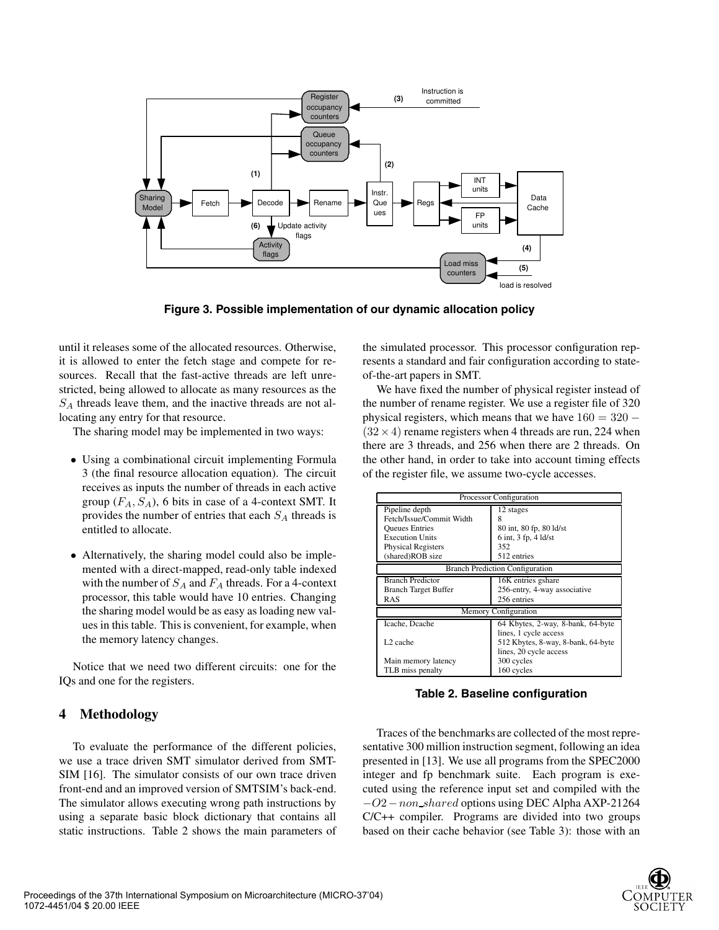

**Figure 3. Possible implementation of our dynamic allocation policy**

until it releases some of the allocated resources. Otherwise, it is allowed to enter the fetch stage and compete for resources. Recall that the fast-active threads are left unrestricted, being allowed to allocate as many resources as the  $S_A$  threads leave them, and the inactive threads are not allocating any entry for that resource.

The sharing model may be implemented in two ways:

- Using a combinational circuit implementing Formula 3 (the final resource allocation equation). The circuit receives as inputs the number of threads in each active group  $(F_A, S_A)$ , 6 bits in case of a 4-context SMT. It provides the number of entries that each  $S_A$  threads is entitled to allocate.
- Alternatively, the sharing model could also be implemented with a direct-mapped, read-only table indexed with the number of  $S_A$  and  $F_A$  threads. For a 4-context processor, this table would have 10 entries. Changing the sharing model would be as easy as loading new values in this table. This is convenient, for example, when the memory latency changes.

Notice that we need two different circuits: one for the IQs and one for the registers.

# **4 Methodology**

To evaluate the performance of the different policies, we use a trace driven SMT simulator derived from SMT-SIM [16]. The simulator consists of our own trace driven front-end and an improved version of SMTSIM's back-end. The simulator allows executing wrong path instructions by using a separate basic block dictionary that contains all static instructions. Table 2 shows the main parameters of the simulated processor. This processor configuration represents a standard and fair configuration according to stateof-the-art papers in SMT.

We have fixed the number of physical register instead of the number of rename register. We use a register file of 320 physical registers, which means that we have  $160 = 320 (32 \times 4)$  rename registers when 4 threads are run, 224 when there are 3 threads, and 256 when there are 2 threads. On the other hand, in order to take into account timing effects of the register file, we assume two-cycle accesses.

| Processor Configuration                |                                    |  |  |
|----------------------------------------|------------------------------------|--|--|
| Pipeline depth                         | 12 stages                          |  |  |
| Fetch/Issue/Commit Width               | 8                                  |  |  |
| <b>Queues Entries</b>                  | 80 int, 80 fp, 80 ld/st            |  |  |
| <b>Execution Units</b>                 | $6$ int, $3$ fp, $4$ ld/st         |  |  |
| <b>Physical Registers</b>              | 352                                |  |  |
| (shared)ROB size                       | 512 entries                        |  |  |
| <b>Branch Prediction Configuration</b> |                                    |  |  |
| <b>Branch Predictor</b>                | 16K entries gshare                 |  |  |
| <b>Branch Target Buffer</b>            | 256-entry, 4-way associative       |  |  |
| RAS                                    | 256 entries                        |  |  |
| <b>Memory Configuration</b>            |                                    |  |  |
| Icache, Dcache                         | 64 Kbytes, 2-way, 8-bank, 64-byte  |  |  |
|                                        | lines, 1 cycle access              |  |  |
| L <sub>2</sub> cache                   | 512 Kbytes, 8-way, 8-bank, 64-byte |  |  |
|                                        | lines, 20 cycle access             |  |  |
| Main memory latency                    | 300 cycles                         |  |  |
| TLB miss penalty                       | 160 cycles                         |  |  |

**Table 2. Baseline configuration**

Traces of the benchmarks are collected of the most representative 300 million instruction segment, following an idea presented in [13]. We use all programs from the SPEC2000 integer and fp benchmark suite. Each program is executed using the reference input set and compiled with the −O2−non shared options using DEC Alpha AXP-21264 C/C++ compiler. Programs are divided into two groups based on their cache behavior (see Table 3): those with an

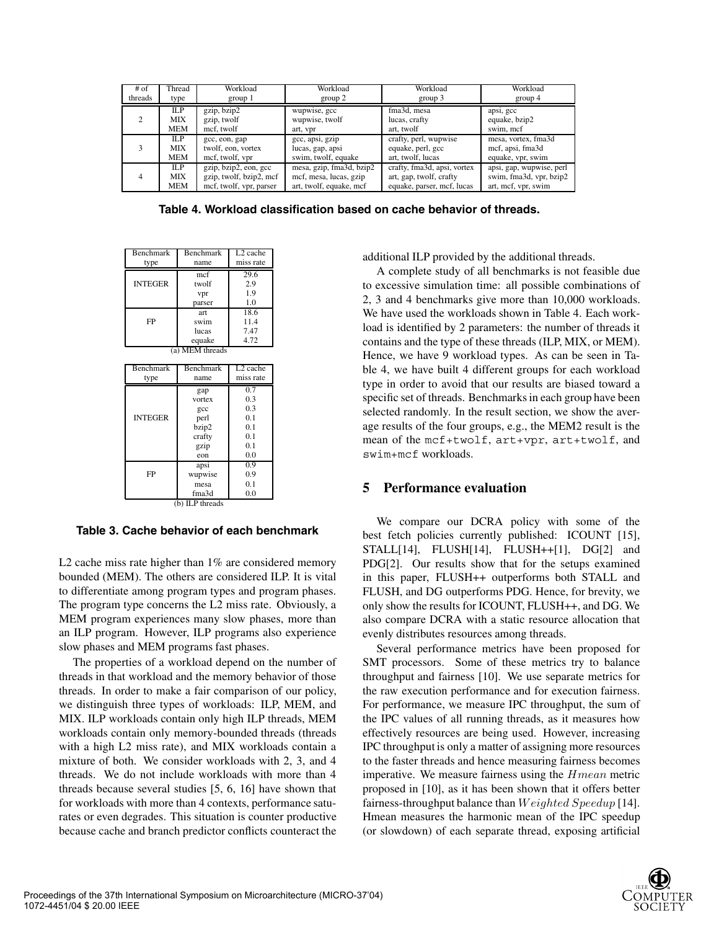| $#$ of  | Thread     | Workload                | Workload                 | Workload                    | Workload                 |
|---------|------------|-------------------------|--------------------------|-----------------------------|--------------------------|
| threads | type       | group 1                 | group 2                  | group 3                     | group 4                  |
|         | ILP        | gzip, bzip2             | wupwise, gcc             | fma3d, mesa                 | apsi, gcc                |
|         | MIX        | gzip, twolf             | wupwise, twolf           | lucas, crafty               | equake, bzip2            |
|         | <b>MEM</b> | mcf, twolf              | art, vpr                 | art, twolf                  | swim, mcf                |
|         | ILP        | gcc, eon, gap           | gcc, apsi, gzip          | crafty, perl, wupwise       | mesa, vortex, fma3d      |
|         | <b>MIX</b> | twolf, eon, vortex      | lucas, gap, apsi         | equake, perl, gcc           | mcf, apsi, fma3d         |
|         | MEM        | mcf, twolf, vpr         | swim, twolf, equake      | art, twolf, lucas           | equake, vpr, swim        |
|         | ILP        | gzip, bzip2, eon, gcc   | mesa, gzip, fma3d, bzip2 | crafty, fma3d, apsi, vortex | apsi, gap, wupwise, perl |
|         | MIX        | gzip, twolf, bzip2, mcf | mcf, mesa, lucas, gzip   | art, gap, twolf, crafty     | swim, fma3d, vpr, bzip2  |
|         | MEM        | mcf, twolf, vpr, parser | art, twolf, equake, mcf  | equake, parser, mcf, lucas  | art, mcf, vpr, swim      |

**Table 4. Workload classification based on cache behavior of threads.**

| Benchmark       | Benchmark                | L <sub>2</sub> cache |  |  |
|-----------------|--------------------------|----------------------|--|--|
| type            | name                     | miss rate            |  |  |
|                 | mcf                      | 29.6                 |  |  |
| <b>INTEGER</b>  | twolf                    | 2.9                  |  |  |
|                 | vpr                      | 1.9                  |  |  |
|                 | parser                   | 1.0                  |  |  |
|                 | art.                     | 18.6                 |  |  |
| FP              | swim                     | 11.4                 |  |  |
|                 | lucas                    | 7.47                 |  |  |
|                 | equake                   | 4.72                 |  |  |
| (a) MEM threads |                          |                      |  |  |
|                 |                          |                      |  |  |
| Benchmark       | Benchmark                | L <sub>2</sub> cache |  |  |
| type            | name                     | miss rate            |  |  |
|                 | gap                      | 0.7                  |  |  |
|                 | vortex                   | 0.3                  |  |  |
|                 | gcc                      | 0.3                  |  |  |
|                 |                          |                      |  |  |
| <b>INTEGER</b>  | perl                     | 0.1                  |  |  |
|                 | bzip2                    | 0.1                  |  |  |
|                 | crafty                   | 0.1                  |  |  |
|                 | gzip                     | 0.1                  |  |  |
|                 | eon                      | 0.0                  |  |  |
|                 | apsi                     | 0.9                  |  |  |
| FP              | wupwise                  | $_{0.9}$             |  |  |
|                 | mesa                     | 0.1                  |  |  |
|                 | fma3d<br>(b) ILP threads | 0.0                  |  |  |

**Table 3. Cache behavior of each benchmark**

L2 cache miss rate higher than 1% are considered memory bounded (MEM). The others are considered ILP. It is vital to differentiate among program types and program phases. The program type concerns the L2 miss rate. Obviously, a MEM program experiences many slow phases, more than an ILP program. However, ILP programs also experience slow phases and MEM programs fast phases.

The properties of a workload depend on the number of threads in that workload and the memory behavior of those threads. In order to make a fair comparison of our policy, we distinguish three types of workloads: ILP, MEM, and MIX. ILP workloads contain only high ILP threads, MEM workloads contain only memory-bounded threads (threads with a high L2 miss rate), and MIX workloads contain a mixture of both. We consider workloads with 2, 3, and 4 threads. We do not include workloads with more than 4 threads because several studies [5, 6, 16] have shown that for workloads with more than 4 contexts, performance saturates or even degrades. This situation is counter productive because cache and branch predictor conflicts counteract the

additional ILP provided by the additional threads.

A complete study of all benchmarks is not feasible due to excessive simulation time: all possible combinations of 2, 3 and 4 benchmarks give more than 10,000 workloads. We have used the workloads shown in Table 4. Each workload is identified by 2 parameters: the number of threads it contains and the type of these threads (ILP, MIX, or MEM). Hence, we have 9 workload types. As can be seen in Table 4, we have built 4 different groups for each workload type in order to avoid that our results are biased toward a specific set of threads. Benchmarks in each group have been selected randomly. In the result section, we show the average results of the four groups, e.g., the MEM2 result is the mean of the mcf+twolf, art+vpr, art+twolf, and swim+mcf workloads.

# **5 Performance evaluation**

We compare our DCRA policy with some of the best fetch policies currently published: ICOUNT [15], STALL[14], FLUSH[14], FLUSH++[1], DG[2] and PDG[2]. Our results show that for the setups examined in this paper, FLUSH++ outperforms both STALL and FLUSH, and DG outperforms PDG. Hence, for brevity, we only show the results for ICOUNT, FLUSH++, and DG. We also compare DCRA with a static resource allocation that evenly distributes resources among threads.

Several performance metrics have been proposed for SMT processors. Some of these metrics try to balance throughput and fairness [10]. We use separate metrics for the raw execution performance and for execution fairness. For performance, we measure IPC throughput, the sum of the IPC values of all running threads, as it measures how effectively resources are being used. However, increasing IPC throughput is only a matter of assigning more resources to the faster threads and hence measuring fairness becomes imperative. We measure fairness using the  $Hmean$  metric proposed in [10], as it has been shown that it offers better fairness-throughput balance than  $Weighted Speedup$  [14]. Hmean measures the harmonic mean of the IPC speedup (or slowdown) of each separate thread, exposing artificial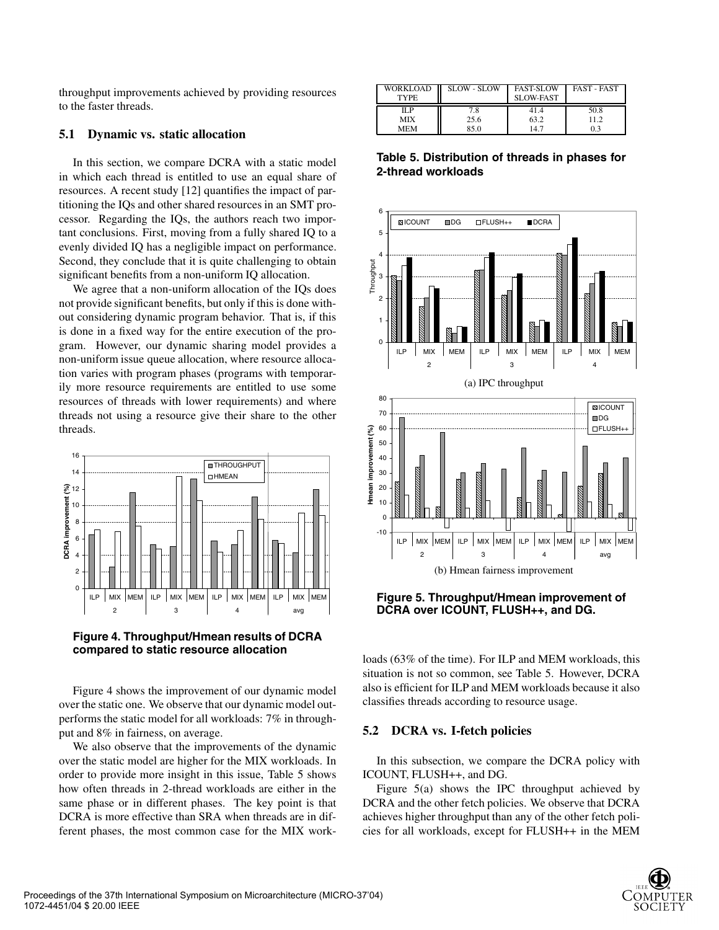throughput improvements achieved by providing resources to the faster threads.

### **5.1 Dynamic vs. static allocation**

In this section, we compare DCRA with a static model in which each thread is entitled to use an equal share of resources. A recent study [12] quantifies the impact of partitioning the IQs and other shared resources in an SMT processor. Regarding the IQs, the authors reach two important conclusions. First, moving from a fully shared IQ to a evenly divided IQ has a negligible impact on performance. Second, they conclude that it is quite challenging to obtain significant benefits from a non-uniform IQ allocation.

We agree that a non-uniform allocation of the IQs does not provide significant benefits, but only if this is done without considering dynamic program behavior. That is, if this is done in a fixed way for the entire execution of the program. However, our dynamic sharing model provides a non-uniform issue queue allocation, where resource allocation varies with program phases (programs with temporarily more resource requirements are entitled to use some resources of threads with lower requirements) and where threads not using a resource give their share to the other threads.





Figure 4 shows the improvement of our dynamic model over the static one. We observe that our dynamic model outperforms the static model for all workloads: 7% in throughput and 8% in fairness, on average.

We also observe that the improvements of the dynamic over the static model are higher for the MIX workloads. In order to provide more insight in this issue, Table 5 shows how often threads in 2-thread workloads are either in the same phase or in different phases. The key point is that DCRA is more effective than SRA when threads are in different phases, the most common case for the MIX work-

| <b>WORKLOAD</b><br><b>TYPE</b> | <b>SLOW - SLOW</b> | <b>FAST-SLOW</b><br><b>SLOW-FAST</b> | <b>FAST - FAST</b> |
|--------------------------------|--------------------|--------------------------------------|--------------------|
| II.P                           | 7.8                | 41.4                                 | 50.8               |
| <b>MIX</b>                     | 25.6               | 63.2                                 | 11.2               |
| MEM                            | 85.0               | 14.7                                 | 0.3                |





**Figure 5. Throughput/Hmean improvement of DCRA over ICOUNT, FLUSH++, and DG.**

loads (63% of the time). For ILP and MEM workloads, this situation is not so common, see Table 5. However, DCRA also is efficient for ILP and MEM workloads because it also classifies threads according to resource usage.

### **5.2 DCRA vs. I-fetch policies**

In this subsection, we compare the DCRA policy with ICOUNT, FLUSH++, and DG.

Figure 5(a) shows the IPC throughput achieved by DCRA and the other fetch policies. We observe that DCRA achieves higher throughput than any of the other fetch policies for all workloads, except for FLUSH++ in the MEM

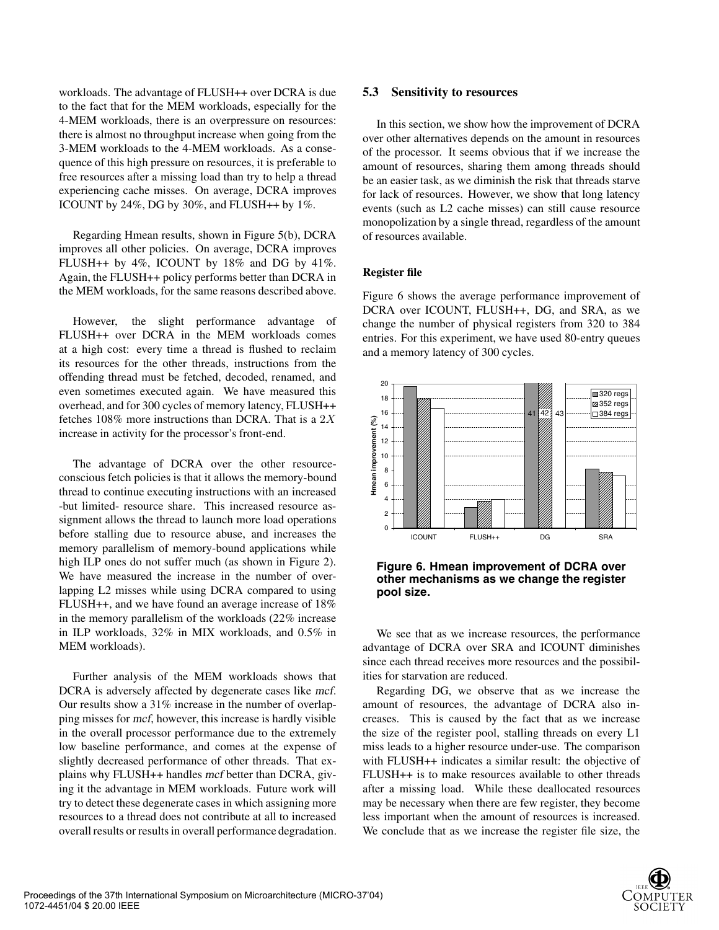workloads. The advantage of FLUSH++ over DCRA is due to the fact that for the MEM workloads, especially for the 4-MEM workloads, there is an overpressure on resources: there is almost no throughput increase when going from the 3-MEM workloads to the 4-MEM workloads. As a consequence of this high pressure on resources, it is preferable to free resources after a missing load than try to help a thread experiencing cache misses. On average, DCRA improves ICOUNT by 24%, DG by 30%, and FLUSH++ by 1%.

Regarding Hmean results, shown in Figure 5(b), DCRA improves all other policies. On average, DCRA improves FLUSH++ by 4%, ICOUNT by 18% and DG by 41%. Again, the FLUSH++ policy performs better than DCRA in the MEM workloads, for the same reasons described above.

However, the slight performance advantage of FLUSH++ over DCRA in the MEM workloads comes at a high cost: every time a thread is flushed to reclaim its resources for the other threads, instructions from the offending thread must be fetched, decoded, renamed, and even sometimes executed again. We have measured this overhead, and for 300 cycles of memory latency, FLUSH++ fetches  $108\%$  more instructions than DCRA. That is a  $2X$ increase in activity for the processor's front-end.

The advantage of DCRA over the other resourceconscious fetch policies is that it allows the memory-bound thread to continue executing instructions with an increased -but limited- resource share. This increased resource assignment allows the thread to launch more load operations before stalling due to resource abuse, and increases the memory parallelism of memory-bound applications while high ILP ones do not suffer much (as shown in Figure 2). We have measured the increase in the number of overlapping L2 misses while using DCRA compared to using FLUSH++, and we have found an average increase of 18% in the memory parallelism of the workloads (22% increase in ILP workloads, 32% in MIX workloads, and 0.5% in MEM workloads).

Further analysis of the MEM workloads shows that DCRA is adversely affected by degenerate cases like mcf. Our results show a 31% increase in the number of overlapping misses for mcf, however, this increase is hardly visible in the overall processor performance due to the extremely low baseline performance, and comes at the expense of slightly decreased performance of other threads. That explains why FLUSH++ handles mcf better than DCRA, giving it the advantage in MEM workloads. Future work will try to detect these degenerate cases in which assigning more resources to a thread does not contribute at all to increased overall results or results in overall performance degradation.

### **5.3 Sensitivity to resources**

In this section, we show how the improvement of DCRA over other alternatives depends on the amount in resources of the processor. It seems obvious that if we increase the amount of resources, sharing them among threads should be an easier task, as we diminish the risk that threads starve for lack of resources. However, we show that long latency events (such as L2 cache misses) can still cause resource monopolization by a single thread, regardless of the amount of resources available.

### **Register file**

Figure 6 shows the average performance improvement of DCRA over ICOUNT, FLUSH++, DG, and SRA, as we change the number of physical registers from 320 to 384 entries. For this experiment, we have used 80-entry queues and a memory latency of 300 cycles.



**Figure 6. Hmean improvement of DCRA over other mechanisms as we change the register pool size.**

We see that as we increase resources, the performance advantage of DCRA over SRA and ICOUNT diminishes since each thread receives more resources and the possibilities for starvation are reduced.

Regarding DG, we observe that as we increase the amount of resources, the advantage of DCRA also increases. This is caused by the fact that as we increase the size of the register pool, stalling threads on every L1 miss leads to a higher resource under-use. The comparison with FLUSH++ indicates a similar result: the objective of FLUSH++ is to make resources available to other threads after a missing load. While these deallocated resources may be necessary when there are few register, they become less important when the amount of resources is increased. We conclude that as we increase the register file size, the

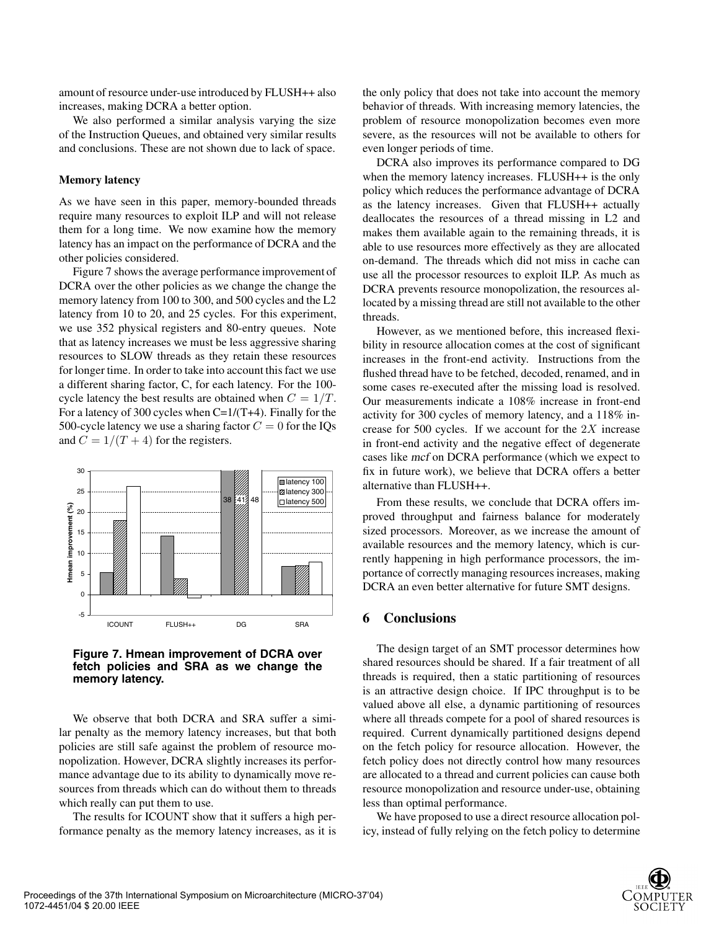amount of resource under-use introduced by FLUSH++ also increases, making DCRA a better option.

We also performed a similar analysis varying the size of the Instruction Queues, and obtained very similar results and conclusions. These are not shown due to lack of space.

### **Memory latency**

As we have seen in this paper, memory-bounded threads require many resources to exploit ILP and will not release them for a long time. We now examine how the memory latency has an impact on the performance of DCRA and the other policies considered.

Figure 7 shows the average performance improvement of DCRA over the other policies as we change the change the memory latency from 100 to 300, and 500 cycles and the L2 latency from 10 to 20, and 25 cycles. For this experiment, we use 352 physical registers and 80-entry queues. Note that as latency increases we must be less aggressive sharing resources to SLOW threads as they retain these resources for longer time. In order to take into account this fact we use a different sharing factor, C, for each latency. For the 100 cycle latency the best results are obtained when  $C = 1/T$ . For a latency of 300 cycles when C=1/(T+4). Finally for the 500-cycle latency we use a sharing factor  $C = 0$  for the IQs and  $C = 1/(T + 4)$  for the registers.



**Figure 7. Hmean improvement of DCRA over fetch policies and SRA as we change the memory latency.**

We observe that both DCRA and SRA suffer a similar penalty as the memory latency increases, but that both policies are still safe against the problem of resource monopolization. However, DCRA slightly increases its performance advantage due to its ability to dynamically move resources from threads which can do without them to threads which really can put them to use.

The results for ICOUNT show that it suffers a high performance penalty as the memory latency increases, as it is the only policy that does not take into account the memory behavior of threads. With increasing memory latencies, the problem of resource monopolization becomes even more severe, as the resources will not be available to others for even longer periods of time.

DCRA also improves its performance compared to DG when the memory latency increases. FLUSH++ is the only policy which reduces the performance advantage of DCRA as the latency increases. Given that FLUSH++ actually deallocates the resources of a thread missing in L2 and makes them available again to the remaining threads, it is able to use resources more effectively as they are allocated on-demand. The threads which did not miss in cache can use all the processor resources to exploit ILP. As much as DCRA prevents resource monopolization, the resources allocated by a missing thread are still not available to the other threads.

However, as we mentioned before, this increased flexibility in resource allocation comes at the cost of significant increases in the front-end activity. Instructions from the flushed thread have to be fetched, decoded, renamed, and in some cases re-executed after the missing load is resolved. Our measurements indicate a 108% increase in front-end activity for 300 cycles of memory latency, and a 118% increase for 500 cycles. If we account for the  $2X$  increase in front-end activity and the negative effect of degenerate cases like mcf on DCRA performance (which we expect to fix in future work), we believe that DCRA offers a better alternative than FLUSH++.

From these results, we conclude that DCRA offers improved throughput and fairness balance for moderately sized processors. Moreover, as we increase the amount of available resources and the memory latency, which is currently happening in high performance processors, the importance of correctly managing resources increases, making DCRA an even better alternative for future SMT designs.

# **6 Conclusions**

The design target of an SMT processor determines how shared resources should be shared. If a fair treatment of all threads is required, then a static partitioning of resources is an attractive design choice. If IPC throughput is to be valued above all else, a dynamic partitioning of resources where all threads compete for a pool of shared resources is required. Current dynamically partitioned designs depend on the fetch policy for resource allocation. However, the fetch policy does not directly control how many resources are allocated to a thread and current policies can cause both resource monopolization and resource under-use, obtaining less than optimal performance.

We have proposed to use a direct resource allocation policy, instead of fully relying on the fetch policy to determine